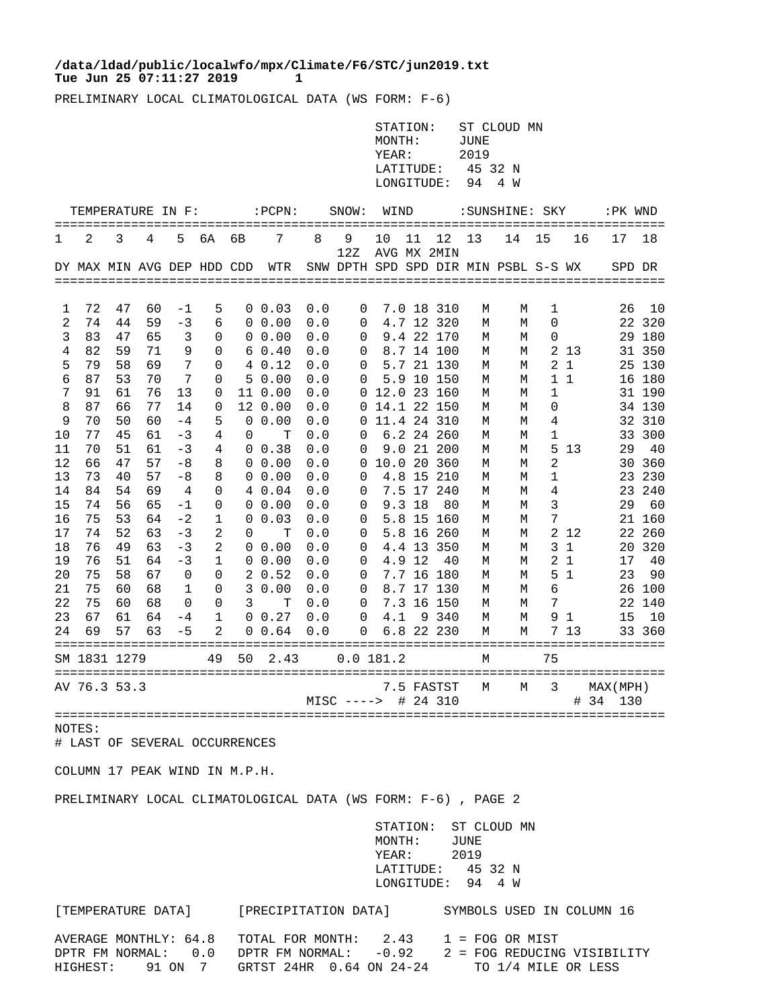## Tue Jun 25 07:11:27 2019 1 **/data/ldad/public/localwfo/mpx/Climate/F6/STC/jun2019.txt**

PRELIMINARY LOCAL CLIMATOLOGICAL DATA (WS FORM: F-6)

|              |                            |          |          |              |                |          |                      |            |                                      | MONTH:<br>YEAR: | STATION:<br>LATITUDE:<br>LONGITUDE: |                          | JUNE<br>2019<br>45 32 N<br>94 | ST CLOUD MN<br>4 W |                     |                     |                         |                  |  |
|--------------|----------------------------|----------|----------|--------------|----------------|----------|----------------------|------------|--------------------------------------|-----------------|-------------------------------------|--------------------------|-------------------------------|--------------------|---------------------|---------------------|-------------------------|------------------|--|
|              | TEMPERATURE IN F:          |          |          |              |                |          | : PCPN:              |            | SNOW:                                | WIND            |                                     |                          |                               | :SUNSHINE: SKY     |                     |                     | :PK WND                 |                  |  |
| 1            | 2                          | 3        | 4        | 5            | 6A             | бB       | 7                    | 8          | 9<br>12Z                             | 10              | 11                                  | 12<br>AVG MX 2MIN        | 13                            | 14                 | 15                  | 16                  | 17                      | 18               |  |
|              | DY MAX MIN AVG DEP HDD CDD |          |          |              |                |          | WTR                  |            | SNW DPTH SPD SPD DIR MIN PSBL S-S WX |                 |                                     |                          |                               |                    |                     |                     |                         | SPD DR           |  |
|              |                            |          |          |              |                |          |                      |            |                                      |                 |                                     |                          |                               |                    |                     |                     |                         |                  |  |
| 1            | 72<br>74                   | 47<br>44 | 60       | $-1$         | 5              |          | $0\;\;0.03$          | 0.0        | 0                                    |                 |                                     | 7.0 18 310               | М                             | М                  | 1<br>0              |                     | 26                      | 10               |  |
| 2            | 83                         | 47       | 59       | -3           | 6              |          | $0\;\;0.00$          | 0.0        | 0                                    |                 |                                     | 4.7 12 320<br>9.4 22 170 | М                             | М                  |                     |                     |                         | 22 320           |  |
| 3<br>4       | 82                         | 59       | 65<br>71 | 3<br>9       | 0<br>0         | 0        | 0.00<br>60.40        | 0.0<br>0.0 | 0<br>0                               |                 |                                     | 8.7 14 100               | М<br>М                        | М<br>М             | 0                   | 2 13                |                         | 29 180<br>31 350 |  |
| 5            | 79                         | 58       | 69       | 7            | $\Omega$       |          | 4 0.12               | 0.0        | 0                                    |                 |                                     | 5.7 21 130               | М                             | М                  | 2                   | 1                   |                         | 25 130           |  |
| 6            | 87                         | 53       | 70       | 7            | 0              |          | 50.00                | 0.0        | 0                                    |                 |                                     | 5.9 10 150               | М                             | М                  |                     | $1\quad1$           |                         | 16 180           |  |
| 7            | 91                         | 61       | 76       | 13           | 0              |          | 11 0.00              | 0.0        | 0                                    | 12.0 23 160     |                                     |                          | М                             | М                  | $\mathbf{1}$        |                     |                         | 31 190           |  |
| 8            | 87                         | 66       | 77       | 14           | $\Omega$       |          | 12 0.00              | 0.0        | 0                                    |                 |                                     | 14.1 22 150              | М                             | M                  | 0                   |                     |                         | 34 130           |  |
| 9            | 70                         | 50       | 60       | $-4$         | 5              | $\Omega$ | 0.00                 | 0.0        | 0                                    |                 |                                     | 11.4 24 310              | M                             | М                  | 4                   |                     |                         | 32 310           |  |
| 10           | 77                         | 45       | 61       | $-3$         | 4              | 0        | т                    | 0.0        | 0                                    |                 |                                     | 6.2 24 260               | М                             | М                  | 1                   |                     |                         | 33 300           |  |
| 11           | 70                         | 51       | 61       | $-3$         | 4              |          | $0 \t0.38$           | 0.0        | 0                                    |                 |                                     | 9.0 21 200               | М                             | M                  | 5                   | 13                  | 29                      | 40               |  |
| 12           | 66                         | 47       | 57       | $-8$         | 8              | 0        | 0.00                 | 0.0        | 0                                    |                 |                                     | 10.0 20 360              | M                             | M                  | 2                   |                     |                         | 30 360           |  |
| 13           | 73                         | 40       | 57       | $-8$         | 8              |          | $0\;\;0.00$          | 0.0        | 0                                    |                 |                                     | 4.8 15 210               | М                             | М                  | 1                   |                     |                         | 23 230           |  |
| 14           | 84                         | 54       | 69       | 4            | 0              |          | 4 0.04               | 0.0        | 0                                    |                 |                                     | 7.5 17 240               | М                             | М                  | 4                   |                     |                         | 23 240           |  |
| 15           | 74                         | 56       | 65       | $-1$         | $\Omega$       |          | $0\;\;0.00$          | 0.0        | 0                                    |                 | $9.3$ 18                            | 80                       | M                             | М                  | 3                   |                     | 29                      | 60               |  |
| 16           | 75                         | 53       | 64       | $-2$         | 1              | 0        | 0.03                 | 0.0        | 0                                    |                 | 5.8 15                              | 160                      | М                             | М                  | 7                   |                     |                         | 21 160           |  |
| 17           | 74                         | 52       | 63       | $-3$         | 2              | 0        | т                    | 0.0        | 0                                    |                 |                                     | 5.8 16 260               | М                             | М                  | $\overline{2}$      | -12                 |                         | 22 260           |  |
| 18           | 76                         | 49       | 63       | $-3$         | $\overline{2}$ | 0        | 0.00                 | 0.0        | $\Omega$                             |                 |                                     | 4.4 13 350               | М                             | М                  | 3                   | 1                   |                         | 20 320           |  |
| 19<br>20     | 76<br>75                   | 51<br>58 | 64<br>67 | $-3$<br>0    | 1<br>0         |          | $0\;\;0.00$<br>20.52 | 0.0<br>0.0 | 0<br>0                               |                 | 4.9 12                              | 40<br>7.7 16 180         | M<br>М                        | М<br>М             | $\overline{2}$<br>5 | 1<br>$\overline{1}$ | 17<br>23                | 40<br>90         |  |
| 21           | 75                         | 60       | 68       | $\mathbf{1}$ | 0              | 3        | 0.00                 | 0.0        | $\Omega$                             |                 |                                     | 8.7 17 130               | M                             | М                  | 6                   |                     |                         | 26 100           |  |
| 22           | 75                         | 60       | 68       | 0            | 0              | 3        | т                    | 0.0        | 0                                    |                 |                                     | 7.3 16 150               | М                             | М                  | 7                   |                     |                         | 22 140           |  |
| 23           | 67                         | 61       | 64       | -4           | 1              | 0        | 0.27                 | 0.0        | 0                                    | 4.1             |                                     | 9 340                    | М                             | М                  | 9                   | 1                   | 15                      | 10               |  |
| 24           | 69                         | 57       | 63       | $-5$         | 2              | 0        | 0.64                 | 0.0        | $\Omega$                             |                 |                                     | 6.8 22 230               | M                             | M                  |                     | 7 13                |                         | 33 360           |  |
|              |                            |          |          |              | 49             | 50       | 2.43                 |            | 0.0 181.2                            |                 |                                     |                          | М                             |                    | 75                  |                     |                         |                  |  |
| SM 1831 1279 |                            |          |          |              |                |          |                      |            |                                      |                 |                                     |                          |                               |                    |                     |                     |                         |                  |  |
|              | AV 76.3 53.3               |          |          |              |                |          |                      |            | $MISC$ ---->                         |                 |                                     | 7.5 FASTST<br># 24 310   | М                             | М                  | 3                   |                     | MAX (MPH)<br>#34<br>130 |                  |  |
|              |                            |          |          |              |                |          |                      |            |                                      |                 |                                     |                          |                               |                    |                     |                     |                         |                  |  |
| NOTES:       |                            |          |          |              |                |          |                      |            |                                      |                 |                                     |                          |                               |                    |                     |                     |                         |                  |  |

# LAST OF SEVERAL OCCURRENCES

COLUMN 17 PEAK WIND IN M.P.H.

PRELIMINARY LOCAL CLIMATOLOGICAL DATA (WS FORM: F-6) , PAGE 2

 STATION: ST CLOUD MN MONTH: JUNE YEAR: 2019 LATITUDE: 45 32 N LONGITUDE: 94 4 W

[TEMPERATURE DATA] [PRECIPITATION DATA] SYMBOLS USED IN COLUMN 16 AVERAGE MONTHLY:  $64.8$  TOTAL FOR MONTH:  $2.43$  1 = FOG OR MIST<br>DPTR FM NORMAL:  $0.0$  DPTR FM NORMAL:  $-0.92$  2 = FOG REDUCING DPTR FM NORMAL: 0.0 DPTR FM NORMAL: -0.92 2 = FOG REDUCING VISIBILITY<br>HIGHEST: 91 ON 7 GRTST 24HR 0.64 ON 24-24 TO 1/4 MILE OR LESS GRTST 24HR 0.64 ON 24-24 TO 1/4 MILE OR LESS